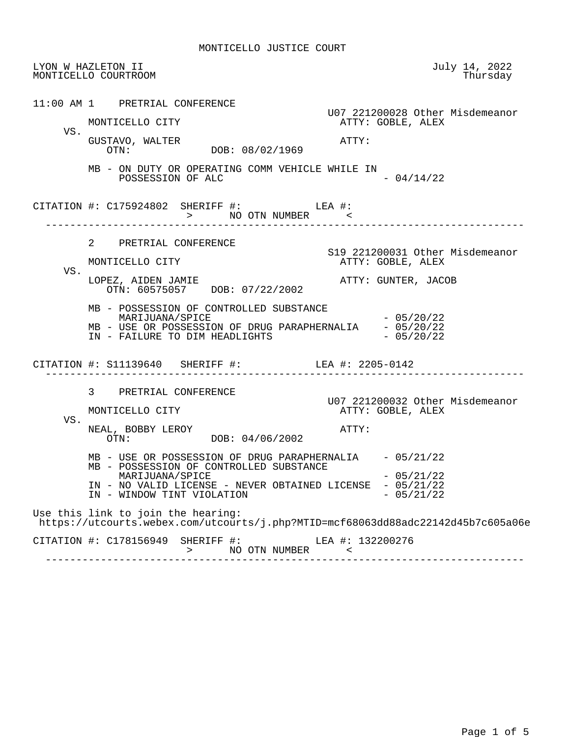|     | LYON W HAZLETON II<br>MONTICELLO COURTROOM                                                                                                                                                            | July 14, 2022<br>Thursday                                     |
|-----|-------------------------------------------------------------------------------------------------------------------------------------------------------------------------------------------------------|---------------------------------------------------------------|
| VS. | 11:00 AM 1 PRETRIAL CONFERENCE<br>MONTICELLO CITY                                                                                                                                                     | U07 221200028 Other Misdemeanor<br>ATTY: GOBLE, ALEX          |
|     | GUSTAVO, WALTER<br>OTN: DOB: 08/02/1969                                                                                                                                                               | ATTY:                                                         |
|     | MB - ON DUTY OR OPERATING COMM VEHICLE WHILE IN<br>POSSESSION OF ALC                                                                                                                                  | $-04/14/22$                                                   |
|     | CITATION #: C175924802 SHERIFF #: LEA #:<br>> NO OTN NUMBER <                                                                                                                                         |                                                               |
| VS. | 2 PRETRIAL CONFERENCE                                                                                                                                                                                 | S19 221200031 Other Misdemeanor                               |
|     | MONTICELLO CITY<br>LOPEZ, AIDEN JAMIE<br>OTN: 60575057 DOB: 07/22/2002                                                                                                                                | ATTY: GOBLE, ALEX<br>ATTY: GUNTER, JACOB                      |
|     | MB - POSSESSION OF CONTROLLED SUBSTANCE<br>$-05/20/22$<br>MARIJUANA/SPICE<br>MB - USE OR POSSESSION OF DRUG PARAPHERNALIA - 05/20/22<br>$-05/20/22$<br>IN - FAILURE TO DIM HEADLIGHTS                 |                                                               |
|     | CITATION #: S11139640 SHERIFF #: LEA #: 2205-0142                                                                                                                                                     |                                                               |
| VS. | 3 PRETRIAL CONFERENCE<br>MONTICELLO CITY<br>NEAL, BOBBY LEROY<br>OTN: DOB: 04/06/2002                                                                                                                 | U07 221200032 Other Misdemeanor<br>ATTY: GOBLE, ALEX<br>ATTY: |
|     | MB - USE OR POSSESSION OF DRUG PARAPHERNALIA - 05/21/22<br>MB - POSSESSION OF CONTROLLED SUBSTANCE<br>MARIJUANA/SPICE<br>IN - NO VALID LICENSE - NEVER OBTAINED LICENSE<br>IN - WINDOW TINT VIOLATION | $-05/21/22$<br>$-05/21/22$<br>$-05/21/22$                     |
|     | Use this link to join the hearing:<br>https://utcourts.webex.com/utcourts/j.php?MTID=mcf68063dd88adc22142d45b7c605a06e                                                                                |                                                               |
|     | CITATION #: C178156949<br>SHERIFF #:<br>NO OTN NUMBER<br>$\geq$                                                                                                                                       | LEA #: 132200276<br>$\prec$                                   |

------------------------------------------------------------------------------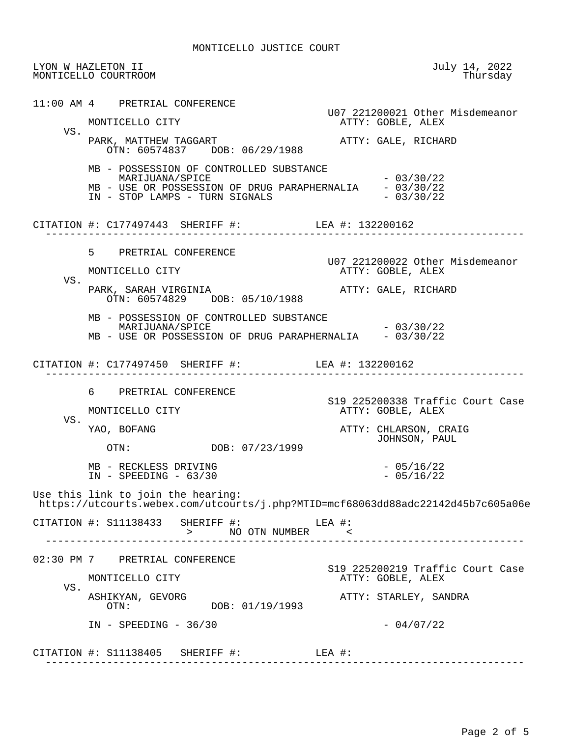LYON W HAZLETON II July 14, 2022 MONTICELLO COURTROOM 11:00 AM 4 PRETRIAL CONFERENCE U07 221200021 Other Misdemeanor ATTY: GOBLE, ALEX VS. PARK, MATTHEW TAGGART **ATTY: GALE, RICHARD**  OTN: 60574837 DOB: 06/29/1988 MB - POSSESSION OF CONTROLLED SUBSTANCE  $\text{MARIJUANA}/\text{SPICE}$   $-03/30/22$ MB - USE OR POSSESSION OF DRUG PARAPHERNALIA - 03/30/22<br>IN - STOP LAMPS - TURN SIGNALS - 03/30/22 IN - STOP LAMPS - TURN SIGNALS CITATION #: C177497443 SHERIFF #: LEA #: 132200162 ------------------------------------------------------------------------------ 5 PRETRIAL CONFERENCE U07 221200022 Other Misdemeanor ATTY: GOBLE, ALEX VS. PARK, SARAH VIRGINIA ATTY: GALE, RICHARD OTN: 60574829 DOB: 05/10/1988 MB - POSSESSION OF CONTROLLED SUBSTANCE  $MARTJUANA/SPICE$   $-03/30/22$ MB - USE OR POSSESSION OF DRUG PARAPHERNALIA - 03/30/22 CITATION #: C177497450 SHERIFF #: LEA #: 132200162 ------------------------------------------------------------------------------ 6 PRETRIAL CONFERENCE S19 225200338 Traffic Court Case ATTY: GOBLE, ALEX VS.<br>YAO, BOFANG ATTY: CHLARSON, CRAIG JOHNSON, PAUL OTN: DOB: 07/23/1999 MB - RECKLESS DRIVING<br>
IN - SPEEDING - 63/30<br>
- 05/16/22  $IN - SPEEDING - 63/30$  Use this link to join the hearing: https://utcourts.webex.com/utcourts/j.php?MTID=mcf68063dd88adc22142d45b7c605a06e CITATION #: S11138433 SHERIFF #: LEA #: > NO OTN NUMBER < ------------------------------------------------------------------------------ 02:30 PM 7 PRETRIAL CONFERENCE S19 225200219 Traffic Court Case ATTY: GOBLE, ALEX VS.<br>ASHIKYAN, GEVORG ASHIKYAN, GEVORG ATTY: STARLEY, SANDRA DOB: 01/19/1993  $IN - SPEEDING - 36/30 - 04/07/22$  CITATION #: S11138405 SHERIFF #: LEA #: ------------------------------------------------------------------------------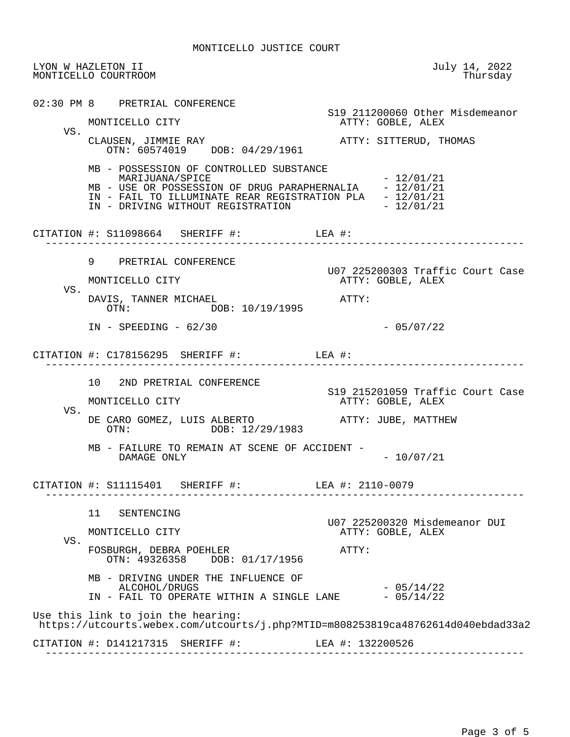LYON W HAZLETON II July 14, 2022 MONTICELLO COURTROOM 02:30 PM 8 PRETRIAL CONFERENCE S19 211200060 Other Misdemeanor ATTY: GOBLE, ALEX VS. CLAUSEN, JIMMIE RAY **ATTY: SITTERUD, THOMAS**  OTN: 60574019 DOB: 04/29/1961 MB - POSSESSION OF CONTROLLED SUBSTANCE MARIJUANA/SPICE  $- 12/01/21$ MB - USE OR POSSESSION OF DRUG PARAPHERNALIA - 12/01/21 IN - FAIL TO ILLUMINATE REAR REGISTRATION PLA - 12/01/21 IN - DRIVING WITHOUT REGISTRATION - 12/01/21 CITATION #: S11098664 SHERIFF #: LEA #: ------------------------------------------------------------------------------ 9 PRETRIAL CONFERENCE U07 225200303 Traffic Court Case ATTY: GOBLE, ALEX VS. DAVIS, TANNER MICHAEL **ATTY:** OTN: DOB: 10/19/1995  $IN - SPERDING - 62/30 - 05/07/22$  CITATION #: C178156295 SHERIFF #: LEA #: ------------------------------------------------------------------------------ 10 2ND PRETRIAL CONFERENCE S19 215201059 Traffic Court Case ATTY: GOBLE, ALEX VS. DE CARO GOMEZ, LUIS ALBERTO ATTY: JUBE, MATTHEW OTN:  $OR: 12/29/1983$ DOB: 12/29/1983 MB - FAILURE TO REMAIN AT SCENE OF ACCIDENT -DAMAGE ONLY  $- 10/07/21$  CITATION #: S11115401 SHERIFF #: LEA #: 2110-0079 ------------------------------------------------------------------------------ 11 SENTENCING U07 225200320 Misdemeanor DUI ATTY: GOBLE, ALEX VS. FOSBURGH, DEBRA POEHLER ATTY: OTN: 49326358 DOB: 01/17/1956 MB - DRIVING UNDER THE INFLUENCE OF ALCOHOL/DRUGS - 05/14/22 IN - FAIL TO OPERATE WITHIN A SINGLE LANE Use this link to join the hearing: https://utcourts.webex.com/utcourts/j.php?MTID=m808253819ca48762614d040ebdad33a2 CITATION #: D141217315 SHERIFF #: LEA #: 132200526 ------------------------------------------------------------------------------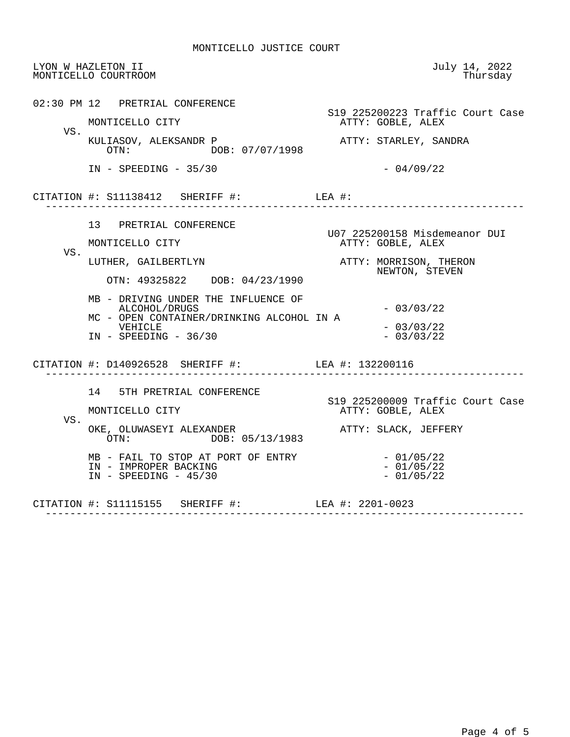|     | LYON W HAZLETON II<br>MONTICELLO COURTROOM                                                                                                 | July 14, 2022<br>Thursday                                         |
|-----|--------------------------------------------------------------------------------------------------------------------------------------------|-------------------------------------------------------------------|
|     | 02:30 PM 12 PRETRIAL CONFERENCE<br>MONTICELLO CITY                                                                                         | S19 225200223 Traffic Court Case<br>ATTY: GOBLE, ALEX             |
| VS. | KULIASOV, ALEKSANDR P<br>OTN: DOB: 07/07/1998                                                                                              | ATTY: STARLEY, SANDRA                                             |
|     | $IN - SPEEDING - 35/30$                                                                                                                    | $-04/09/22$                                                       |
|     | CITATION #: $S11138412$ SHERIFF #: LEA #:                                                                                                  |                                                                   |
|     | 13 PRETRIAL CONFERENCE<br>MONTICELLO CITY                                                                                                  | U07 225200158 Misdemeanor DUI<br>ATTY: GOBLE, ALEX                |
| VS. | LUTHER, GAILBERTLYN<br>OTN: 49325822 DOB: 04/23/1990                                                                                       | ATTY: MORRISON, THERON<br>NEWTON, STEVEN                          |
|     | MB - DRIVING UNDER THE INFLUENCE OF<br>ALCOHOL/DRUGS<br>MC - OPEN CONTAINER/DRINKING ALCOHOL IN A<br>VEHICLE<br>$IN - SPEEDING - 36/30$    | $-03/03/22$<br>$-03/03/22$<br>$-03/03/22$                         |
|     | CITATION #: D140926528 SHERIFF #: LEA #: 132200116                                                                                         |                                                                   |
| VS. | 14 5TH PRETRIAL CONFERENCE<br>MONTICELLO CITY                                                                                              | S19 225200009 Traffic Court Case<br>ATTY: GOBLE, ALEX             |
|     | OKE, OLUWASEYI ALEXANDER<br>OTN: DOB: 05/13/1983<br>MB - FAIL TO STOP AT PORT OF ENTRY<br>IN - IMPROPER BACKING<br>$IN$ - SPEEDING - 45/30 | ATTY: SLACK, JEFFERY<br>$-01/05/22$<br>$-01/05/22$<br>$-01/05/22$ |
|     | CITATION #: S11115155 SHERIFF #: LEA #: 2201-0023                                                                                          |                                                                   |